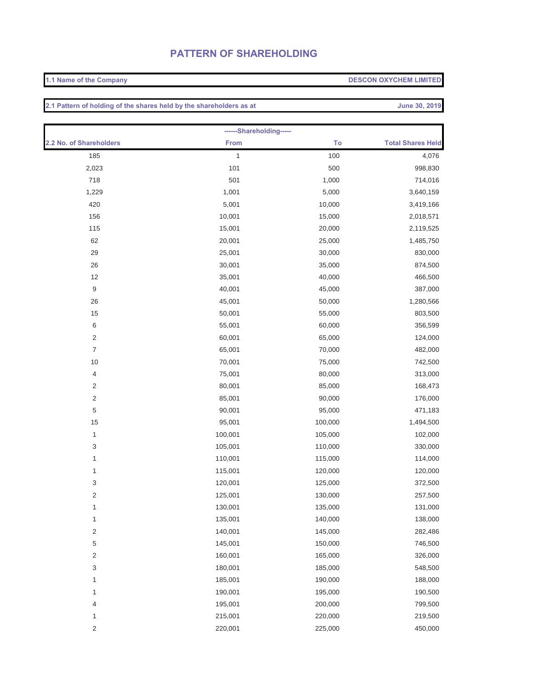## **PATTERN OF SHAREHOLDING**

## **1.1 Name of the Company DESCON OXYCHEM LIMITED**

**2.1 Pattern of holding of the shares held by the shareholders as at June 30, 2019** 

| ------Shareholding-----   |             |         |                          |  |  |
|---------------------------|-------------|---------|--------------------------|--|--|
| 2.2 No. of Shareholders   | <b>From</b> | To      | <b>Total Shares Held</b> |  |  |
| 185                       | 1           | 100     | 4,076                    |  |  |
| 2,023                     | 101         | 500     | 998,830                  |  |  |
| 718                       | 501         | 1,000   | 714,016                  |  |  |
| 1,229                     | 1,001       | 5,000   | 3,640,159                |  |  |
| 420                       | 5,001       | 10,000  | 3,419,166                |  |  |
| 156                       | 10,001      | 15,000  | 2,018,571                |  |  |
| 115                       | 15,001      | 20,000  | 2,119,525                |  |  |
| 62                        | 20,001      | 25,000  | 1,485,750                |  |  |
| 29                        | 25,001      | 30,000  | 830,000                  |  |  |
| 26                        | 30,001      | 35,000  | 874,500                  |  |  |
| 12                        | 35,001      | 40,000  | 466,500                  |  |  |
| $\boldsymbol{9}$          | 40,001      | 45,000  | 387,000                  |  |  |
| 26                        | 45,001      | 50,000  | 1,280,566                |  |  |
| 15                        | 50,001      | 55,000  | 803,500                  |  |  |
| $\,6\,$                   | 55,001      | 60,000  | 356,599                  |  |  |
| $\sqrt{2}$                | 60,001      | 65,000  | 124,000                  |  |  |
| $\overline{7}$            | 65,001      | 70,000  | 482,000                  |  |  |
| 10                        | 70,001      | 75,000  | 742,500                  |  |  |
| $\overline{4}$            | 75,001      | 80,000  | 313,000                  |  |  |
| $\sqrt{2}$                | 80,001      | 85,000  | 168,473                  |  |  |
| $\sqrt{2}$                | 85,001      | 90,000  | 176,000                  |  |  |
| $\,$ 5 $\,$               | 90,001      | 95,000  | 471,183                  |  |  |
| 15                        | 95,001      | 100,000 | 1,494,500                |  |  |
| $\mathbf{1}$              | 100,001     | 105,000 | 102,000                  |  |  |
| $\ensuremath{\mathsf{3}}$ | 105,001     | 110,000 | 330,000                  |  |  |
| 1                         | 110,001     | 115,000 | 114,000                  |  |  |
| 1                         | 115,001     | 120,000 | 120,000                  |  |  |
| $\ensuremath{\mathsf{3}}$ | 120,001     | 125,000 | 372,500                  |  |  |
| $\sqrt{2}$                | 125,001     | 130,000 | 257,500                  |  |  |
| $\mathbf{1}$              | 130,001     | 135,000 | 131,000                  |  |  |
| $\mathbf{1}$              | 135,001     | 140,000 | 138,000                  |  |  |
| $\sqrt{2}$                | 140,001     | 145,000 | 282,486                  |  |  |
| 5                         | 145,001     | 150,000 | 746,500                  |  |  |
| 2                         | 160,001     | 165,000 | 326,000                  |  |  |
| 3                         | 180,001     | 185,000 | 548,500                  |  |  |
| 1                         | 185,001     | 190,000 | 188,000                  |  |  |
| 1                         | 190,001     | 195,000 | 190,500                  |  |  |
| 4                         | 195,001     | 200,000 | 799,500                  |  |  |
| 1                         | 215,001     | 220,000 | 219,500                  |  |  |
| 2                         | 220,001     | 225,000 | 450,000                  |  |  |